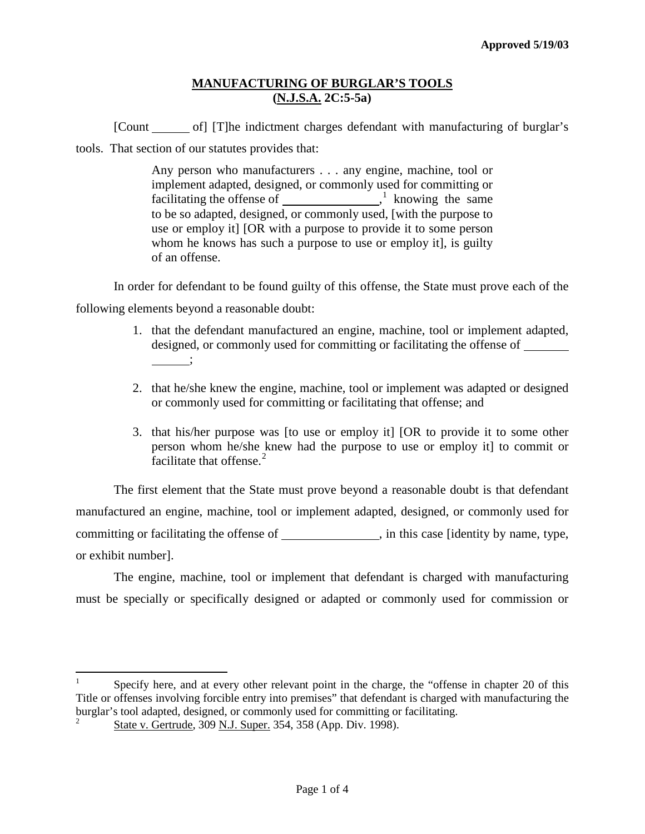[Count of] [T]he indictment charges defendant with manufacturing of burglar's tools. That section of our statutes provides that:

> Any person who manufacturers . . . any engine, machine, tool or implement adapted, designed, or commonly used for committing or facilitating the offense of  $\frac{1}{1}$  $\frac{1}{1}$  $\frac{1}{1}$  knowing the same to be so adapted, designed, or commonly used, [with the purpose to use or employ it] [OR with a purpose to provide it to some person whom he knows has such a purpose to use or employ it], is guilty of an offense.

In order for defendant to be found guilty of this offense, the State must prove each of the following elements beyond a reasonable doubt:

- 1. that the defendant manufactured an engine, machine, tool or implement adapted, designed, or commonly used for committing or facilitating the offense of \_\_\_\_\_\_\_  $\qquad \qquad ;$
- 2. that he/she knew the engine, machine, tool or implement was adapted or designed or commonly used for committing or facilitating that offense; and
- 3. that his/her purpose was [to use or employ it] [OR to provide it to some other person whom he/she knew had the purpose to use or employ it] to commit or facilitate that offense. $2$

The first element that the State must prove beyond a reasonable doubt is that defendant manufactured an engine, machine, tool or implement adapted, designed, or commonly used for committing or facilitating the offense of \_\_\_\_\_\_\_\_\_\_\_\_\_\_, in this case [identity by name, type, or exhibit number].

The engine, machine, tool or implement that defendant is charged with manufacturing must be specially or specifically designed or adapted or commonly used for commission or

<span id="page-0-1"></span><span id="page-0-0"></span> $\frac{1}{1}$  Specify here, and at every other relevant point in the charge, the "offense in chapter 20 of this Title or offenses involving forcible entry into premises" that defendant is charged with manufacturing the burglar's tool adapted, designed, or commonly used for committing or facilitating. 2

State v. Gertrude, 309 N.J. Super. 354, 358 (App. Div. 1998).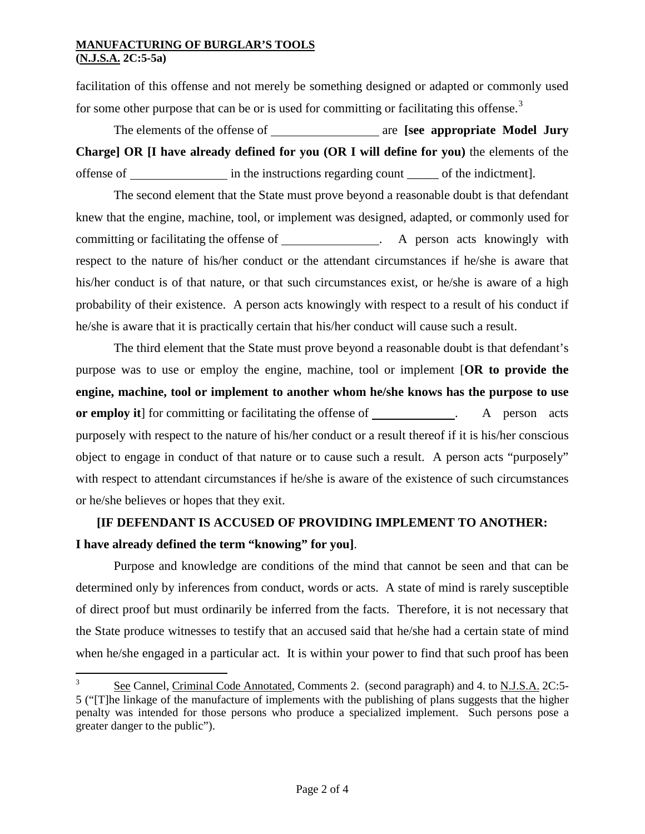facilitation of this offense and not merely be something designed or adapted or commonly used for some other purpose that can be or is used for committing or facilitating this offense.<sup>[3](#page-0-0)</sup>

The elements of the offense of **are axes are [see appropriate Model Jury Charge] OR [I have already defined for you (OR I will define for you)** the elements of the offense of in the instructions regarding count \_\_\_\_\_ of the indictment].

The second element that the State must prove beyond a reasonable doubt is that defendant knew that the engine, machine, tool, or implement was designed, adapted, or commonly used for committing or facilitating the offense of . A person acts knowingly with respect to the nature of his/her conduct or the attendant circumstances if he/she is aware that his/her conduct is of that nature, or that such circumstances exist, or he/she is aware of a high probability of their existence. A person acts knowingly with respect to a result of his conduct if he/she is aware that it is practically certain that his/her conduct will cause such a result.

The third element that the State must prove beyond a reasonable doubt is that defendant's purpose was to use or employ the engine, machine, tool or implement [**OR to provide the engine, machine, tool or implement to another whom he/she knows has the purpose to use or employ it** for committing or facilitating the offense of . A person acts purposely with respect to the nature of his/her conduct or a result thereof if it is his/her conscious object to engage in conduct of that nature or to cause such a result. A person acts "purposely" with respect to attendant circumstances if he/she is aware of the existence of such circumstances or he/she believes or hopes that they exit.

# **[IF DEFENDANT IS ACCUSED OF PROVIDING IMPLEMENT TO ANOTHER: I have already defined the term "knowing" for you]**.

Purpose and knowledge are conditions of the mind that cannot be seen and that can be determined only by inferences from conduct, words or acts. A state of mind is rarely susceptible of direct proof but must ordinarily be inferred from the facts. Therefore, it is not necessary that the State produce witnesses to testify that an accused said that he/she had a certain state of mind when he/she engaged in a particular act. It is within your power to find that such proof has been

<sup>&</sup>lt;sup>2</sup><br>3 See Cannel, Criminal Code Annotated, Comments 2. (second paragraph) and 4. to N.J.S.A. 2C:5- 5 ("[T]he linkage of the manufacture of implements with the publishing of plans suggests that the higher penalty was intended for those persons who produce a specialized implement. Such persons pose a greater danger to the public").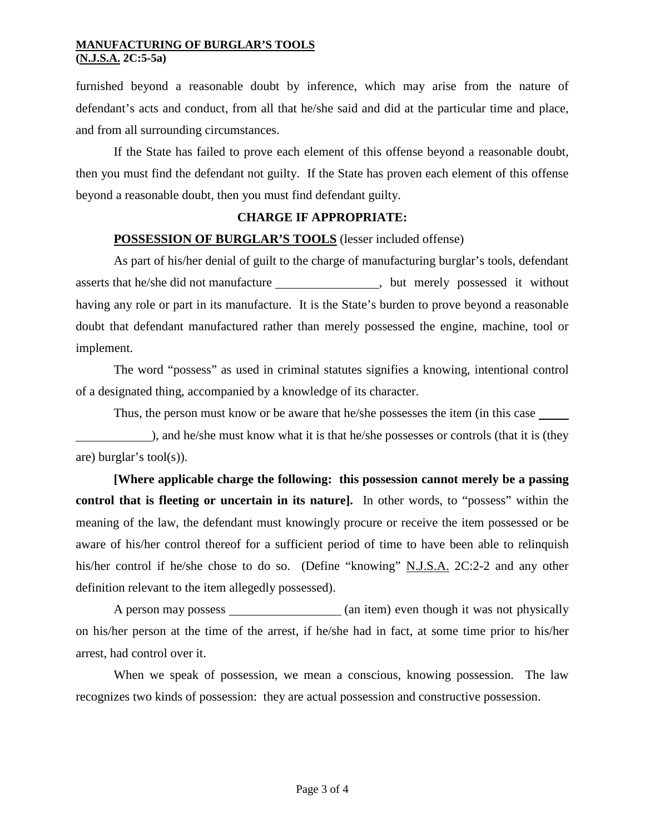furnished beyond a reasonable doubt by inference, which may arise from the nature of defendant's acts and conduct, from all that he/she said and did at the particular time and place, and from all surrounding circumstances.

If the State has failed to prove each element of this offense beyond a reasonable doubt, then you must find the defendant not guilty. If the State has proven each element of this offense beyond a reasonable doubt, then you must find defendant guilty.

#### **CHARGE IF APPROPRIATE:**

#### **POSSESSION OF BURGLAR'S TOOLS** (lesser included offense)

As part of his/her denial of guilt to the charge of manufacturing burglar's tools, defendant asserts that he/she did not manufacture , but merely possessed it without having any role or part in its manufacture. It is the State's burden to prove beyond a reasonable doubt that defendant manufactured rather than merely possessed the engine, machine, tool or implement.

The word "possess" as used in criminal statutes signifies a knowing, intentional control of a designated thing, accompanied by a knowledge of its character.

Thus, the person must know or be aware that he/she possesses the item (in this case

), and he/she must know what it is that he/she possesses or controls (that it is (they are) burglar's tool(s)).

**[Where applicable charge the following: this possession cannot merely be a passing control that is fleeting or uncertain in its nature].** In other words, to "possess" within the meaning of the law, the defendant must knowingly procure or receive the item possessed or be aware of his/her control thereof for a sufficient period of time to have been able to relinquish his/her control if he/she chose to do so. (Define "knowing" N.J.S.A. 2C:2-2 and any other definition relevant to the item allegedly possessed).

A person may possess (an item) even though it was not physically on his/her person at the time of the arrest, if he/she had in fact, at some time prior to his/her arrest, had control over it.

When we speak of possession, we mean a conscious, knowing possession. The law recognizes two kinds of possession: they are actual possession and constructive possession.